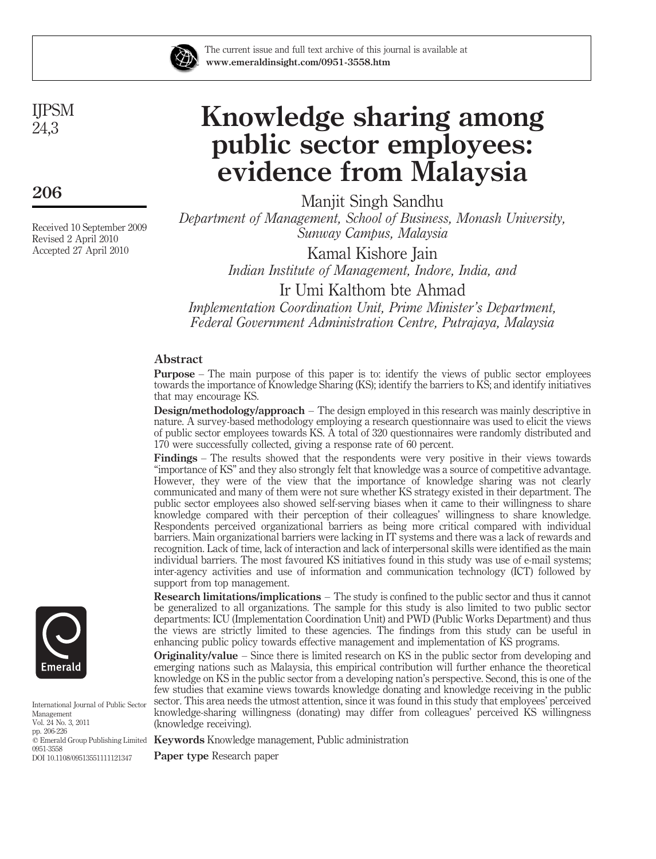

The current issue and full text archive of this journal is available at www.emeraldinsight.com/0951-3558.htm

IJPSM 24,3

206

Received 10 September 2009 Revised 2 April 2010 Accepted 27 April 2010

# Knowledge sharing among public sector employees: evidence from Malaysia

Manjit Singh Sandhu *Department of Management, School of Business, Monash University, Sunway Campus, Malaysia*

Kamal Kishore Jain *Indian Institute of Management, Indore, India, and* Ir Umi Kalthom bte Ahmad

*Implementation Coordination Unit, Prime Minister's Department, Federal Government Administration Centre, Putrajaya, Malaysia*

# Abstract

Purpose – The main purpose of this paper is to: identify the views of public sector employees towards the importance of Knowledge Sharing (KS); identify the barriers to KS; and identify initiatives that may encourage KS.

Design/methodology/approach – The design employed in this research was mainly descriptive in nature. A survey-based methodology employing a research questionnaire was used to elicit the views of public sector employees towards KS. A total of 320 questionnaires were randomly distributed and 170 were successfully collected, giving a response rate of 60 percent.

Findings – The results showed that the respondents were very positive in their views towards "importance of KS" and they also strongly felt that knowledge was a source of competitive advantage. However, they were of the view that the importance of knowledge sharing was not clearly communicated and many of them were not sure whether KS strategy existed in their department. The public sector employees also showed self-serving biases when it came to their willingness to share knowledge compared with their perception of their colleagues' willingness to share knowledge. Respondents perceived organizational barriers as being more critical compared with individual barriers. Main organizational barriers were lacking in IT systems and there was a lack of rewards and recognition. Lack of time, lack of interaction and lack of interpersonal skills were identified as the main individual barriers. The most favoured KS initiatives found in this study was use of e-mail systems; inter-agency activities and use of information and communication technology (ICT) followed by support from top management.

Research limitations/implications – The study is confined to the public sector and thus it cannot be generalized to all organizations. The sample for this study is also limited to two public sector departments: ICU (Implementation Coordination Unit) and PWD (Public Works Department) and thus the views are strictly limited to these agencies. The findings from this study can be useful in enhancing public policy towards effective management and implementation of KS programs.

**Originality/value** – Since there is limited research on KS in the public sector from developing and emerging nations such as Malaysia, this empirical contribution will further enhance the theoretical knowledge on KS in the public sector from a developing nation's perspective. Second, this is one of the few studies that examine views towards knowledge donating and knowledge receiving in the public sector. This area needs the utmost attention, since it was found in this study that employees' perceived knowledge-sharing willingness (donating) may differ from colleagues' perceived KS willingness (knowledge receiving).

 $\widetilde{\mathbb{C}}$  Emerald Group Publishing Limited Keywords Knowledge management, Public administration

Paper type Research paper



International Journal of Public Sector Management Vol. 24 No. 3, 2011 pp. 206-226 0951-3558 DOI 10.1108/09513551111121347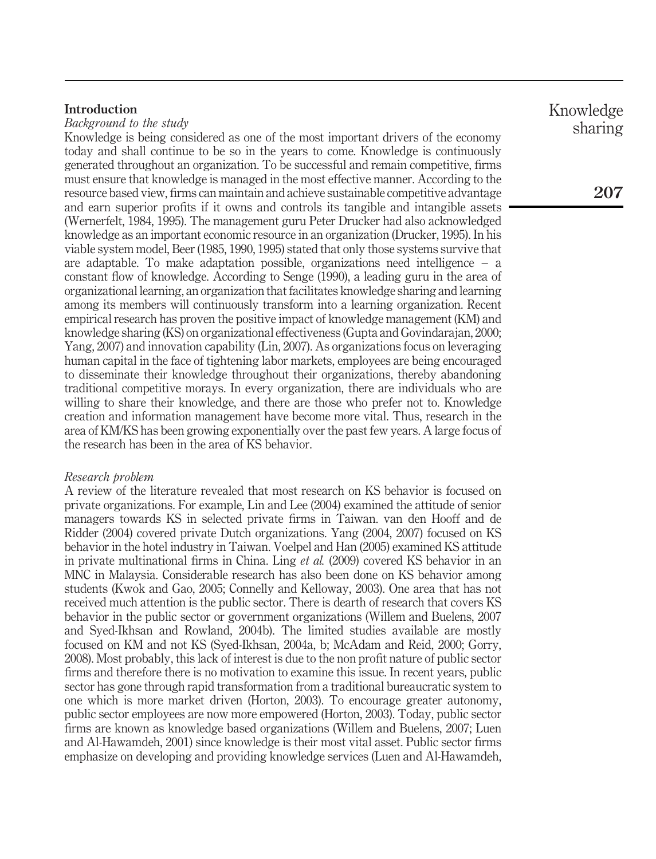# Introduction

*Background to the study*

Knowledge is being considered as one of the most important drivers of the economy today and shall continue to be so in the years to come. Knowledge is continuously generated throughout an organization. To be successful and remain competitive, firms must ensure that knowledge is managed in the most effective manner. According to the resource based view, firms can maintain and achieve sustainable competitive advantage and earn superior profits if it owns and controls its tangible and intangible assets (Wernerfelt, 1984, 1995). The management guru Peter Drucker had also acknowledged knowledge as an important economic resource in an organization (Drucker, 1995). In his viable system model, Beer (1985, 1990, 1995) stated that only those systems survive that are adaptable. To make adaptation possible, organizations need intelligence – a constant flow of knowledge. According to Senge (1990), a leading guru in the area of organizational learning, an organization that facilitates knowledge sharing and learning among its members will continuously transform into a learning organization. Recent empirical research has proven the positive impact of knowledge management (KM) and knowledge sharing (KS) on organizational effectiveness (Gupta and Govindarajan, 2000; Yang, 2007) and innovation capability (Lin, 2007). As organizations focus on leveraging human capital in the face of tightening labor markets, employees are being encouraged to disseminate their knowledge throughout their organizations, thereby abandoning traditional competitive morays. In every organization, there are individuals who are willing to share their knowledge, and there are those who prefer not to. Knowledge creation and information management have become more vital. Thus, research in the area of KM/KS has been growing exponentially over the past few years. A large focus of the research has been in the area of KS behavior.

# *Research problem*

A review of the literature revealed that most research on KS behavior is focused on private organizations. For example, Lin and Lee (2004) examined the attitude of senior managers towards KS in selected private firms in Taiwan. van den Hooff and de Ridder (2004) covered private Dutch organizations. Yang (2004, 2007) focused on KS behavior in the hotel industry in Taiwan. Voelpel and Han (2005) examined KS attitude in private multinational firms in China. Ling *et al.* (2009) covered KS behavior in an MNC in Malaysia. Considerable research has also been done on KS behavior among students (Kwok and Gao, 2005; Connelly and Kelloway, 2003). One area that has not received much attention is the public sector. There is dearth of research that covers KS behavior in the public sector or government organizations (Willem and Buelens, 2007 and Syed-Ikhsan and Rowland, 2004b). The limited studies available are mostly focused on KM and not KS (Syed-Ikhsan, 2004a, b; McAdam and Reid, 2000; Gorry, 2008). Most probably, this lack of interest is due to the non profit nature of public sector firms and therefore there is no motivation to examine this issue. In recent years, public sector has gone through rapid transformation from a traditional bureaucratic system to one which is more market driven (Horton, 2003). To encourage greater autonomy, public sector employees are now more empowered (Horton, 2003). Today, public sector firms are known as knowledge based organizations (Willem and Buelens, 2007; Luen and Al-Hawamdeh, 2001) since knowledge is their most vital asset. Public sector firms emphasize on developing and providing knowledge services (Luen and Al-Hawamdeh,

Knowledge sharing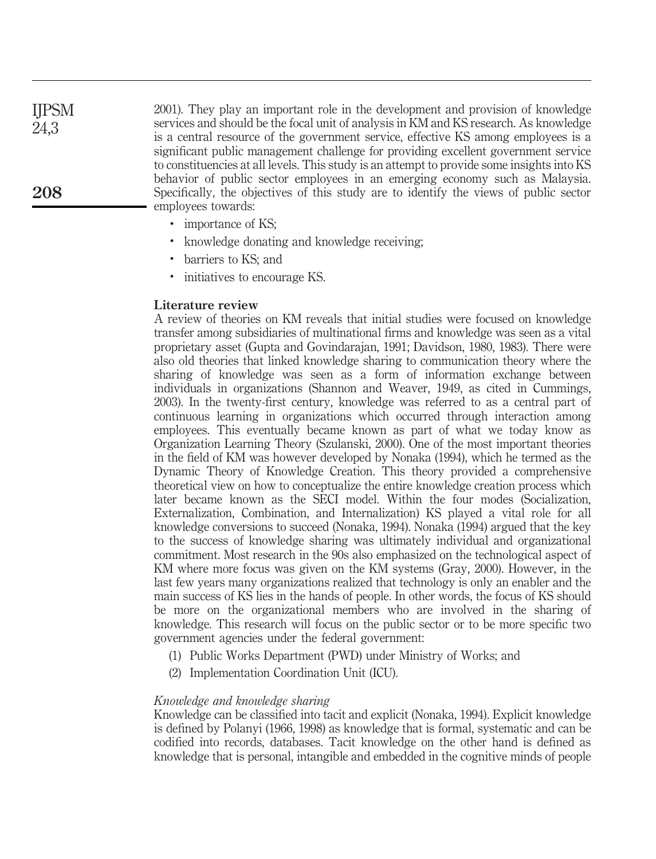2001). They play an important role in the development and provision of knowledge services and should be the focal unit of analysis in KM and KS research. As knowledge is a central resource of the government service, effective KS among employees is a significant public management challenge for providing excellent government service to constituencies at all levels. This study is an attempt to provide some insights into KS behavior of public sector employees in an emerging economy such as Malaysia. Specifically, the objectives of this study are to identify the views of public sector employees towards: IJPSM 24,3 208

- importance of KS;
- . knowledge donating and knowledge receiving;
- . barriers to KS; and
- . initiatives to encourage KS.

# Literature review

A review of theories on KM reveals that initial studies were focused on knowledge transfer among subsidiaries of multinational firms and knowledge was seen as a vital proprietary asset (Gupta and Govindarajan, 1991; Davidson, 1980, 1983). There were also old theories that linked knowledge sharing to communication theory where the sharing of knowledge was seen as a form of information exchange between individuals in organizations (Shannon and Weaver, 1949, as cited in Cummings, 2003). In the twenty-first century, knowledge was referred to as a central part of continuous learning in organizations which occurred through interaction among employees. This eventually became known as part of what we today know as Organization Learning Theory (Szulanski, 2000). One of the most important theories in the field of KM was however developed by Nonaka (1994), which he termed as the Dynamic Theory of Knowledge Creation. This theory provided a comprehensive theoretical view on how to conceptualize the entire knowledge creation process which later became known as the SECI model. Within the four modes (Socialization, Externalization, Combination, and Internalization) KS played a vital role for all knowledge conversions to succeed (Nonaka, 1994). Nonaka (1994) argued that the key to the success of knowledge sharing was ultimately individual and organizational commitment. Most research in the 90s also emphasized on the technological aspect of KM where more focus was given on the KM systems (Gray, 2000). However, in the last few years many organizations realized that technology is only an enabler and the main success of KS lies in the hands of people. In other words, the focus of KS should be more on the organizational members who are involved in the sharing of knowledge. This research will focus on the public sector or to be more specific two government agencies under the federal government:

- (1) Public Works Department (PWD) under Ministry of Works; and
- (2) Implementation Coordination Unit (ICU).

# *Knowledge and knowledge sharing*

Knowledge can be classified into tacit and explicit (Nonaka, 1994). Explicit knowledge is defined by Polanyi (1966, 1998) as knowledge that is formal, systematic and can be codified into records, databases. Tacit knowledge on the other hand is defined as knowledge that is personal, intangible and embedded in the cognitive minds of people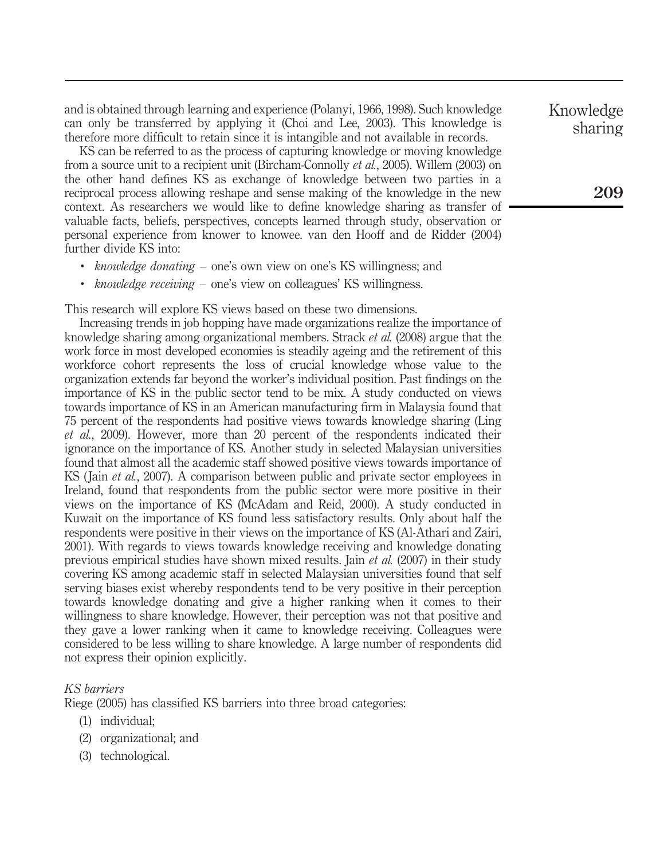and is obtained through learning and experience (Polanyi, 1966, 1998). Such knowledge can only be transferred by applying it (Choi and Lee, 2003). This knowledge is therefore more difficult to retain since it is intangible and not available in records.

KS can be referred to as the process of capturing knowledge or moving knowledge from a source unit to a recipient unit (Bircham-Connolly *et al.*, 2005). Willem (2003) on the other hand defines KS as exchange of knowledge between two parties in a reciprocal process allowing reshape and sense making of the knowledge in the new context. As researchers we would like to define knowledge sharing as transfer of valuable facts, beliefs, perspectives, concepts learned through study, observation or personal experience from knower to knowee. van den Hooff and de Ridder (2004) further divide KS into:

- . *knowledge donating* one's own view on one's KS willingness; and
- . *knowledge receiving* one's view on colleagues' KS willingness.

This research will explore KS views based on these two dimensions.

Increasing trends in job hopping have made organizations realize the importance of knowledge sharing among organizational members. Strack *et al.* (2008) argue that the work force in most developed economies is steadily ageing and the retirement of this workforce cohort represents the loss of crucial knowledge whose value to the organization extends far beyond the worker's individual position. Past findings on the importance of KS in the public sector tend to be mix. A study conducted on views towards importance of KS in an American manufacturing firm in Malaysia found that 75 percent of the respondents had positive views towards knowledge sharing (Ling *et al.*, 2009). However, more than 20 percent of the respondents indicated their ignorance on the importance of KS. Another study in selected Malaysian universities found that almost all the academic staff showed positive views towards importance of KS ( Jain *et al.*, 2007). A comparison between public and private sector employees in Ireland, found that respondents from the public sector were more positive in their views on the importance of KS (McAdam and Reid, 2000). A study conducted in Kuwait on the importance of KS found less satisfactory results. Only about half the respondents were positive in their views on the importance of KS (Al-Athari and Zairi, 2001). With regards to views towards knowledge receiving and knowledge donating previous empirical studies have shown mixed results. Jain *et al.* (2007) in their study covering KS among academic staff in selected Malaysian universities found that self serving biases exist whereby respondents tend to be very positive in their perception towards knowledge donating and give a higher ranking when it comes to their willingness to share knowledge. However, their perception was not that positive and they gave a lower ranking when it came to knowledge receiving. Colleagues were considered to be less willing to share knowledge. A large number of respondents did not express their opinion explicitly.

# *KS barriers*

Riege (2005) has classified KS barriers into three broad categories:

- (1) individual;
- (2) organizational; and
- (3) technological.

Knowledge sharing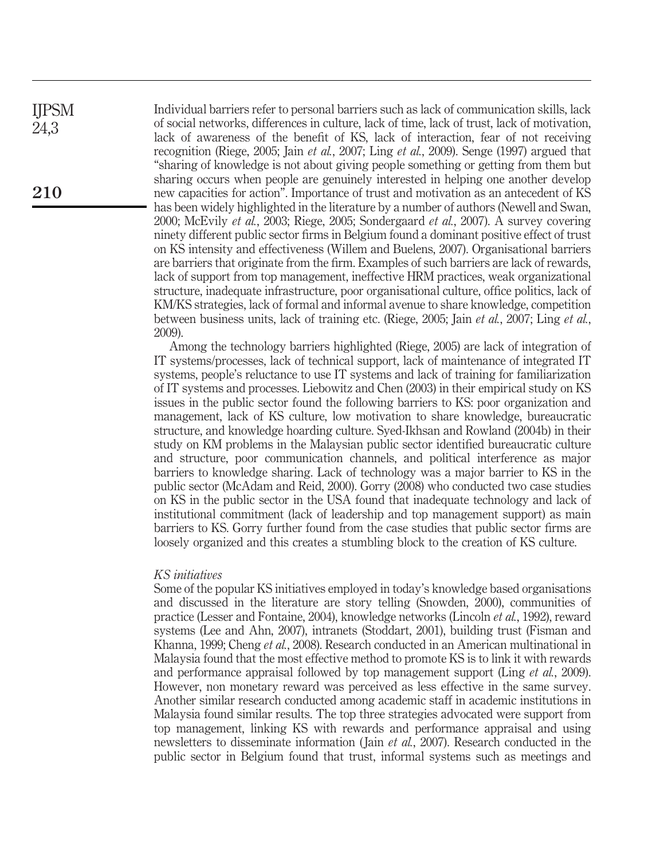Individual barriers refer to personal barriers such as lack of communication skills, lack of social networks, differences in culture, lack of time, lack of trust, lack of motivation, lack of awareness of the benefit of KS, lack of interaction, fear of not receiving recognition (Riege, 2005; Jain *et al.*, 2007; Ling *et al.*, 2009). Senge (1997) argued that "sharing of knowledge is not about giving people something or getting from them but sharing occurs when people are genuinely interested in helping one another develop new capacities for action". Importance of trust and motivation as an antecedent of KS has been widely highlighted in the literature by a number of authors (Newell and Swan, 2000; McEvily *et al.*, 2003; Riege, 2005; Sondergaard *et al.*, 2007). A survey covering ninety different public sector firms in Belgium found a dominant positive effect of trust on KS intensity and effectiveness (Willem and Buelens, 2007). Organisational barriers are barriers that originate from the firm. Examples of such barriers are lack of rewards, lack of support from top management, ineffective HRM practices, weak organizational structure, inadequate infrastructure, poor organisational culture, office politics, lack of KM/KS strategies, lack of formal and informal avenue to share knowledge, competition between business units, lack of training etc. (Riege, 2005; Jain *et al.*, 2007; Ling *et al.*, 2009).

Among the technology barriers highlighted (Riege, 2005) are lack of integration of IT systems/processes, lack of technical support, lack of maintenance of integrated IT systems, people's reluctance to use IT systems and lack of training for familiarization of IT systems and processes. Liebowitz and Chen (2003) in their empirical study on KS issues in the public sector found the following barriers to KS: poor organization and management, lack of KS culture, low motivation to share knowledge, bureaucratic structure, and knowledge hoarding culture. Syed-Ikhsan and Rowland (2004b) in their study on KM problems in the Malaysian public sector identified bureaucratic culture and structure, poor communication channels, and political interference as major barriers to knowledge sharing. Lack of technology was a major barrier to KS in the public sector (McAdam and Reid, 2000). Gorry (2008) who conducted two case studies on KS in the public sector in the USA found that inadequate technology and lack of institutional commitment (lack of leadership and top management support) as main barriers to KS. Gorry further found from the case studies that public sector firms are loosely organized and this creates a stumbling block to the creation of KS culture.

#### *KS initiatives*

Some of the popular KS initiatives employed in today's knowledge based organisations and discussed in the literature are story telling (Snowden, 2000), communities of practice (Lesser and Fontaine, 2004), knowledge networks (Lincoln *et al.*, 1992), reward systems (Lee and Ahn, 2007), intranets (Stoddart, 2001), building trust (Fisman and Khanna, 1999; Cheng *et al.*, 2008). Research conducted in an American multinational in Malaysia found that the most effective method to promote KS is to link it with rewards and performance appraisal followed by top management support (Ling *et al.*, 2009). However, non monetary reward was perceived as less effective in the same survey. Another similar research conducted among academic staff in academic institutions in Malaysia found similar results. The top three strategies advocated were support from top management, linking KS with rewards and performance appraisal and using newsletters to disseminate information ( Jain *et al.*, 2007). Research conducted in the public sector in Belgium found that trust, informal systems such as meetings and

IJPSM 24,3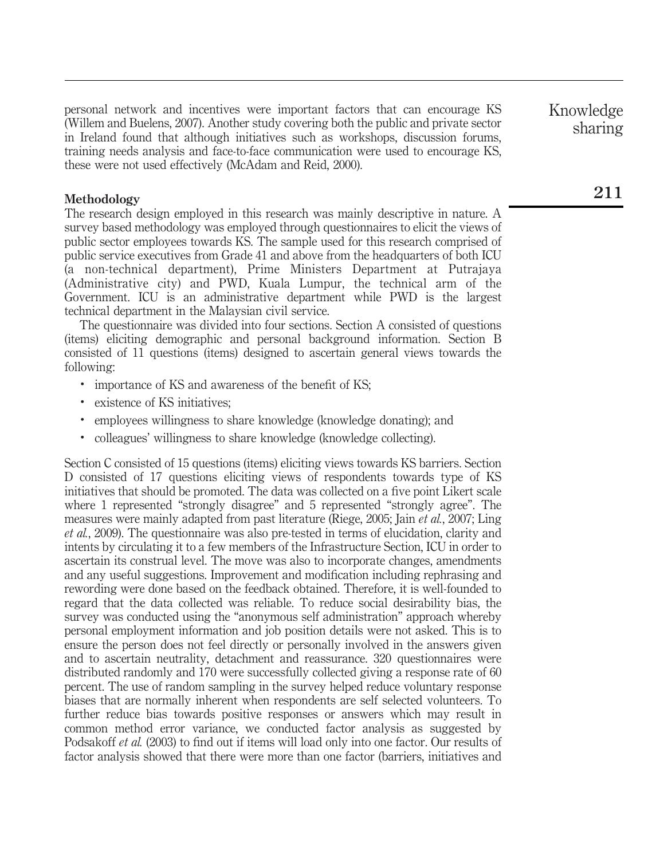personal network and incentives were important factors that can encourage KS (Willem and Buelens, 2007). Another study covering both the public and private sector in Ireland found that although initiatives such as workshops, discussion forums, training needs analysis and face-to-face communication were used to encourage KS, these were not used effectively (McAdam and Reid, 2000).

# Methodology

The research design employed in this research was mainly descriptive in nature. A survey based methodology was employed through questionnaires to elicit the views of public sector employees towards KS. The sample used for this research comprised of public service executives from Grade 41 and above from the headquarters of both ICU (a non-technical department), Prime Ministers Department at Putrajaya (Administrative city) and PWD, Kuala Lumpur, the technical arm of the Government. ICU is an administrative department while PWD is the largest technical department in the Malaysian civil service.

The questionnaire was divided into four sections. Section A consisted of questions (items) eliciting demographic and personal background information. Section B consisted of 11 questions (items) designed to ascertain general views towards the following:

- . importance of KS and awareness of the benefit of KS;
- . existence of KS initiatives;
- . employees willingness to share knowledge (knowledge donating); and
- . colleagues' willingness to share knowledge (knowledge collecting).

Section C consisted of 15 questions (items) eliciting views towards KS barriers. Section D consisted of 17 questions eliciting views of respondents towards type of KS initiatives that should be promoted. The data was collected on a five point Likert scale where 1 represented "strongly disagree" and 5 represented "strongly agree". The measures were mainly adapted from past literature (Riege, 2005; Jain *et al.*, 2007; Ling *et al.*, 2009). The questionnaire was also pre-tested in terms of elucidation, clarity and intents by circulating it to a few members of the Infrastructure Section, ICU in order to ascertain its construal level. The move was also to incorporate changes, amendments and any useful suggestions. Improvement and modification including rephrasing and rewording were done based on the feedback obtained. Therefore, it is well-founded to regard that the data collected was reliable. To reduce social desirability bias, the survey was conducted using the "anonymous self administration" approach whereby personal employment information and job position details were not asked. This is to ensure the person does not feel directly or personally involved in the answers given and to ascertain neutrality, detachment and reassurance. 320 questionnaires were distributed randomly and 170 were successfully collected giving a response rate of 60 percent. The use of random sampling in the survey helped reduce voluntary response biases that are normally inherent when respondents are self selected volunteers. To further reduce bias towards positive responses or answers which may result in common method error variance, we conducted factor analysis as suggested by Podsakoff *et al.* (2003) to find out if items will load only into one factor. Our results of factor analysis showed that there were more than one factor (barriers, initiatives and Knowledge sharing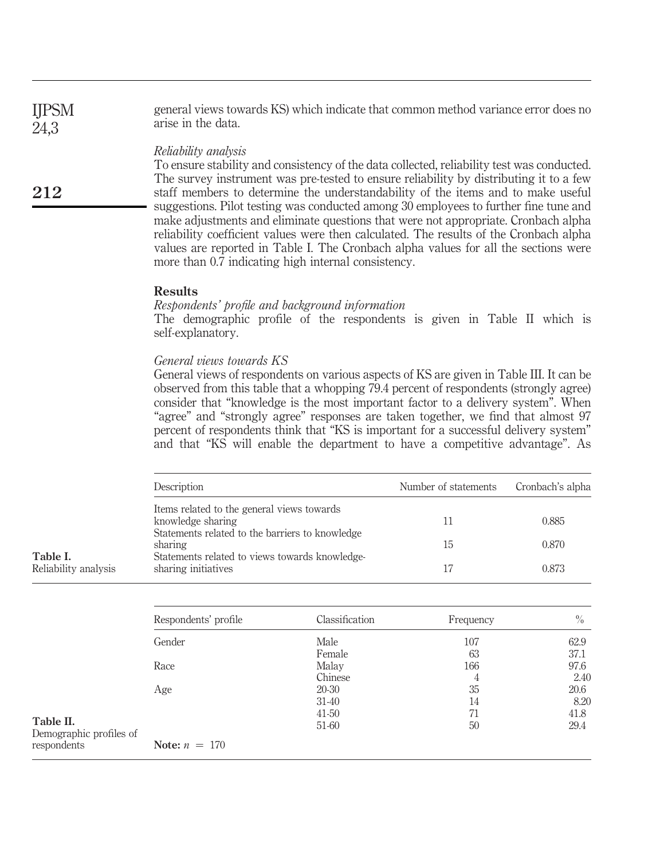general views towards KS) which indicate that common method variance error does no arise in the data. IJPSM 24,3

# *Reliability analysis*

To ensure stability and consistency of the data collected, reliability test was conducted. The survey instrument was pre-tested to ensure reliability by distributing it to a few staff members to determine the understandability of the items and to make useful suggestions. Pilot testing was conducted among 30 employees to further fine tune and make adjustments and eliminate questions that were not appropriate. Cronbach alpha reliability coefficient values were then calculated. The results of the Cronbach alpha values are reported in Table I. The Cronbach alpha values for all the sections were more than 0.7 indicating high internal consistency.

# Results

# *Respondents' profile and background information*

The demographic profile of the respondents is given in Table II which is self-explanatory.

# *General views towards KS*

General views of respondents on various aspects of KS are given in Table III. It can be observed from this table that a whopping 79.4 percent of respondents (strongly agree) consider that "knowledge is the most important factor to a delivery system". When "agree" and "strongly agree" responses are taken together, we find that almost 97 percent of respondents think that "KS is important for a successful delivery system" and that "KS will enable the department to have a competitive advantage". As

| Description                                                           | Number of statements | Cronbach's alpha |
|-----------------------------------------------------------------------|----------------------|------------------|
| Items related to the general views towards<br>knowledge sharing       | 11                   | 0.885            |
| Statements related to the barriers to knowledge<br>sharing            | 15                   | 0.870            |
| Statements related to views towards knowledge-<br>sharing initiatives | 17                   | 0.873            |

Table I. Reliability analysis

212

|                                      | Respondents' profile | Classification | Frequency | $\%$ |
|--------------------------------------|----------------------|----------------|-----------|------|
|                                      | Gender               | Male           | 107       | 62.9 |
|                                      |                      | Female         | 63        | 37.1 |
|                                      | Race                 | Malay          | 166       | 97.6 |
|                                      |                      | Chinese        | 4         | 2.40 |
|                                      | Age                  | 20-30          | 35        | 20.6 |
|                                      |                      | $31-40$        | 14        | 8.20 |
|                                      |                      | $41-50$        | 71        | 41.8 |
| Table II.<br>Demographic profiles of |                      | 51-60          | 50        | 29.4 |
| respondents                          | Note: $n = 170$      |                |           |      |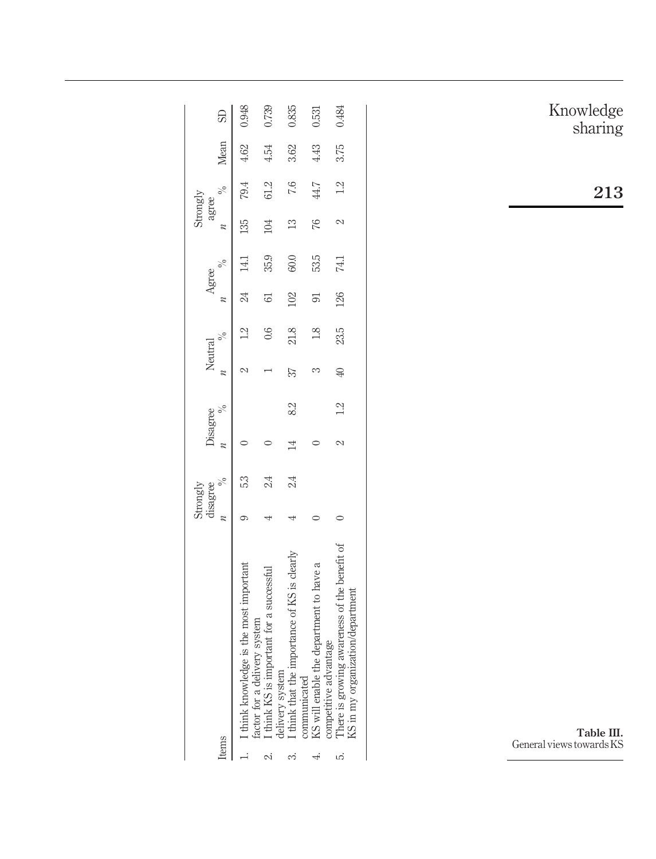| Items  |                                                                                  | Strongly<br>disagree | Disagree |    | Neutral |               | Agree          |      | Strongly<br>agree |      | $\%$ Mean SD |       |
|--------|----------------------------------------------------------------------------------|----------------------|----------|----|---------|---------------|----------------|------|-------------------|------|--------------|-------|
|        | 1. I think knowledge is the most important<br>actor for a delivery system        | 53                   |          |    |         |               | 24             | 14.1 | 135               | 79.4 | 4.62         | 0.948 |
| $\sim$ | I think KS is important for a successful                                         |                      |          |    |         | 0.6           | $\overline{6}$ | 35.9 | 104               | 61.2 | 4.54         | 0.739 |
| ∽      | I think that the importance of KS is clearly<br>lelivery system                  | 24                   | $^{14}$  | 82 | 37      | 21.8          | 102            | 60.0 | 13                | 7.6  | 3.62         | 0.835 |
|        | KS will enable the department to have a<br>ompetitive advantage<br>ommunicated   |                      |          |    |         | $\frac{8}{1}$ | $\overline{5}$ | 53.5 | 76                | 44.7 | 4.43         | 0.531 |
| زما    | There is growing awareness of the benefit of<br>KS in my organization/department |                      |          |    | 40      | 23.5          | 126            | 74.1 |                   | 12   | 3.75         | 0.484 |

Knowledge sharing

213

Table III. General views towards KS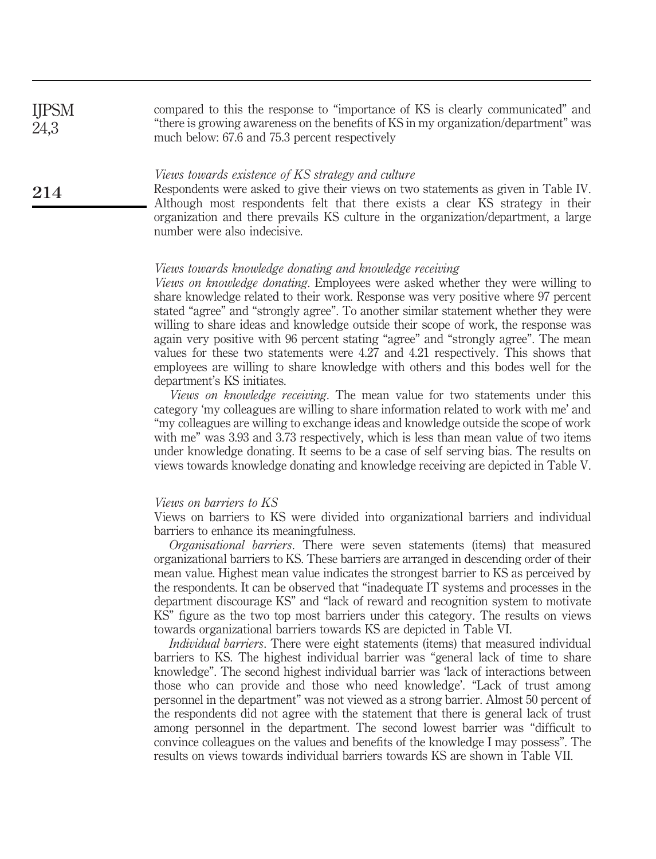| <b>IJPSM</b> | compared to this the response to "importance of KS is clearly communicated" and      |
|--------------|--------------------------------------------------------------------------------------|
| 24,3         | "there is growing awareness on the benefits of KS in my organization/department" was |
|              | much below: 67.6 and 75.3 percent respectively                                       |

#### *Views towards existence of KS strategy and culture*

Respondents were asked to give their views on two statements as given in Table IV. Although most respondents felt that there exists a clear KS strategy in their organization and there prevails KS culture in the organization/department, a large number were also indecisive.

#### *Views towards knowledge donating and knowledge receiving*

*Views on knowledge donating*. Employees were asked whether they were willing to share knowledge related to their work. Response was very positive where 97 percent stated "agree" and "strongly agree". To another similar statement whether they were willing to share ideas and knowledge outside their scope of work, the response was again very positive with 96 percent stating "agree" and "strongly agree". The mean values for these two statements were 4.27 and 4.21 respectively. This shows that employees are willing to share knowledge with others and this bodes well for the department's KS initiates.

*Views on knowledge receiving*. The mean value for two statements under this category 'my colleagues are willing to share information related to work with me' and "my colleagues are willing to exchange ideas and knowledge outside the scope of work with me" was 3.93 and 3.73 respectively, which is less than mean value of two items under knowledge donating. It seems to be a case of self serving bias. The results on views towards knowledge donating and knowledge receiving are depicted in Table V.

#### *Views on barriers to KS*

214

Views on barriers to KS were divided into organizational barriers and individual barriers to enhance its meaningfulness.

*Organisational barriers*. There were seven statements (items) that measured organizational barriers to KS. These barriers are arranged in descending order of their mean value. Highest mean value indicates the strongest barrier to KS as perceived by the respondents. It can be observed that "inadequate IT systems and processes in the department discourage KS" and "lack of reward and recognition system to motivate KS" figure as the two top most barriers under this category. The results on views towards organizational barriers towards KS are depicted in Table VI.

*Individual barriers*. There were eight statements (items) that measured individual barriers to KS. The highest individual barrier was "general lack of time to share knowledge". The second highest individual barrier was 'lack of interactions between those who can provide and those who need knowledge'. "Lack of trust among personnel in the department" was not viewed as a strong barrier. Almost 50 percent of the respondents did not agree with the statement that there is general lack of trust among personnel in the department. The second lowest barrier was "difficult to convince colleagues on the values and benefits of the knowledge I may possess". The results on views towards individual barriers towards KS are shown in Table VII.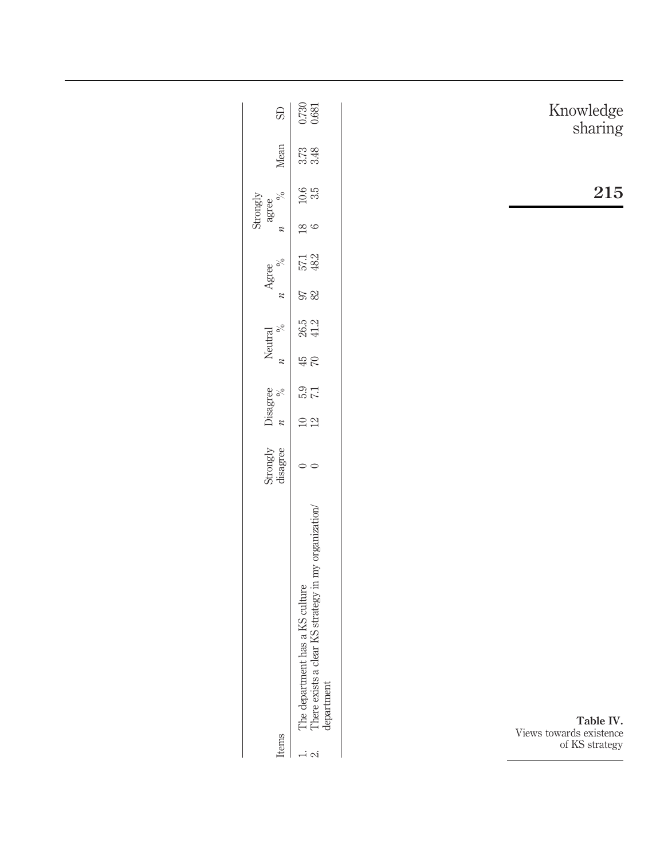| $\overline{\mathbb{S}}$      | $\frac{0.730}{0.681}$                                                                                                                      |                                                        |
|------------------------------|--------------------------------------------------------------------------------------------------------------------------------------------|--------------------------------------------------------|
|                              |                                                                                                                                            | Knowledge<br>sharing                                   |
| Mean                         | $3.73$<br>$3.48$                                                                                                                           |                                                        |
| $\%$<br>agree                | $\begin{array}{c} 10.6 \\ 3.5 \end{array}$                                                                                                 | 215                                                    |
| Strongly<br>$\boldsymbol{n}$ | $\frac{8}{6}$                                                                                                                              |                                                        |
| $\%$<br>Agree                | 57.1<br>48.2                                                                                                                               |                                                        |
| $\boldsymbol{\mathcal{U}}$   | 97                                                                                                                                         |                                                        |
| $\%$<br>Neutral              | $26.5$<br>41.2                                                                                                                             |                                                        |
| $\overline{\mathscr{U}}$     | $45$                                                                                                                                       |                                                        |
| Disagree<br>$\%$             | $\frac{12}{50}$                                                                                                                            |                                                        |
|                              | $10\,$ $21\,$                                                                                                                              |                                                        |
| Strongly<br>disagree         | $\circ$ $\circ$                                                                                                                            |                                                        |
| Items                        | The department has a KS culture $$\tt There$ exists a clear KS strategy in my organization/<br>department<br>$\overline{1}$ $\overline{2}$ | Table IV.<br>Views towards existence<br>of KS strategy |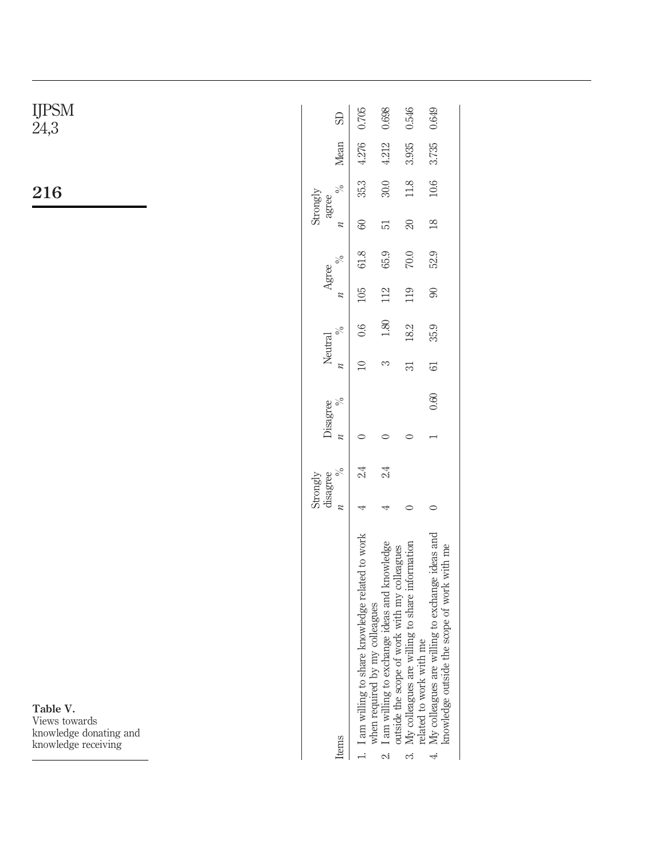| S <sub>0</sub>   | 0.705                                                                                                 | 0.698                                        | 0.546                                          | 0.649                                                                                          |                         |
|------------------|-------------------------------------------------------------------------------------------------------|----------------------------------------------|------------------------------------------------|------------------------------------------------------------------------------------------------|-------------------------|
| Mean             | 4.276                                                                                                 | 4.212                                        | 3.935                                          | 3.735                                                                                          |                         |
| $\%$             | 35.3                                                                                                  | $30.0\,$                                     | $11.8\,$                                       | 10.6                                                                                           |                         |
| $\boldsymbol{n}$ | $\rm 60$                                                                                              | 51                                           | $\boldsymbol{\mathcal{Z}}$                     | $18\,$                                                                                         |                         |
| $\%$             | 61.8                                                                                                  | 65.9                                         | $70.0\,$                                       | 52.9                                                                                           |                         |
| $\boldsymbol{n}$ | 105                                                                                                   | 112                                          | 119                                            | $\pmb{\mathcal{S}}$                                                                            |                         |
| $\%$             | 0.6                                                                                                   | $1.80\,$                                     | $18.2\,$                                       | 35.9                                                                                           |                         |
| $\boldsymbol{n}$ | $\Box$                                                                                                | 3                                            | 51                                             | $\mathbb{G}% _{n}^{1}\!\left( a,b\right)$                                                      |                         |
| $\%$             |                                                                                                       |                                              |                                                | 0.60                                                                                           |                         |
| $\boldsymbol{n}$ | $\circ$                                                                                               | $\circ$                                      | $\circ$                                        | $\overline{\phantom{0}}$                                                                       |                         |
|                  | $2.4\phantom{0}$                                                                                      | $2.4\phantom{0}$                             |                                                |                                                                                                |                         |
|                  | 4                                                                                                     | 4                                            | $\circ$                                        | $\circ$                                                                                        |                         |
|                  | I am willing to share knowledge related to work                                                       | I am willing to exchange ideas and knowledge | My colleagues are willing to share information | My colleagues are willing to exchange ideas and<br>knowledge outside the scope of work with me |                         |
|                  | Strongly<br>agree<br>Agree<br>Neutral<br>Disagree<br>disagree<br>" $\frac{9}{6}$<br>Strongly<br>ltems |                                              | when required by my colleagues                 | outside the scope of work with my colleagues                                                   | related to work with me |

 $\ddot{\circ}$  $\ddot{ }$ 

Table V. Views towards knowledge donating and knowledge receiving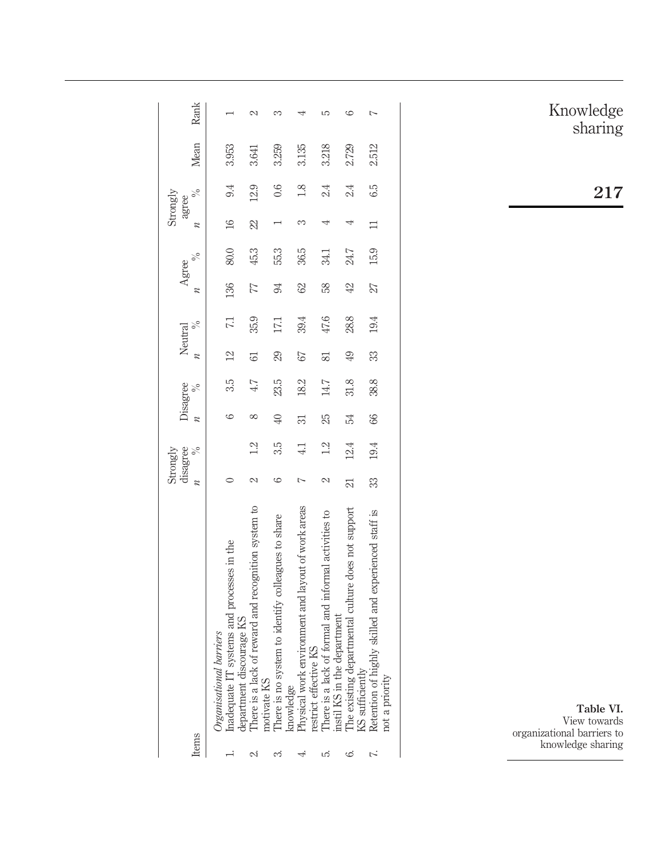| Items |                                                                                                           | $\overline{\mathcal{Z}}$ | disagree<br>Strongly<br>$\frac{6}{6}$ | $\boldsymbol{z}$ | Disagree<br>$\frac{6}{6}$ | $\boldsymbol{\mathcal{Z}}$ | $\frac{6}{6}$<br>Neutral | $\boldsymbol{z}$ | $\frac{6}{6}$<br>Agree | $\boldsymbol{z}$ | $\frac{5}{6}$<br>Strongly<br>agree | Mean  | Rank |
|-------|-----------------------------------------------------------------------------------------------------------|--------------------------|---------------------------------------|------------------|---------------------------|----------------------------|--------------------------|------------------|------------------------|------------------|------------------------------------|-------|------|
|       | systems and processes in the<br>lepartment discourage KS<br>barriers<br>Inadequate IT s<br>Drganisational |                          |                                       | అ                | 35                        | $^{12}$                    | 71                       | 136              | 80.0                   | $\overline{16}$  | 9.4                                | 3.953 |      |
|       | of reward and recognition system to<br>There is a lack                                                    | 2                        | 1.2                                   | $^{\circ}$       | 47                        | $\overline{6}$             | 35.9                     | 77               | 45.3                   | $\mathbb{Z}$     | 12.9                               | 3.641 | 2    |
|       | motivate KS<br>There is no system to identify colleagues to share<br>mowledge                             | అ                        | 3.5                                   | $\overline{40}$  | 23.5                      | 29                         | 17,1                     | 94               | 55.3                   |                  | 0.6                                | 3.259 |      |
|       | Physical work environment and layout of work areas<br>restrict effective KS                               | $\overline{ }$           | $\frac{1}{4}$                         | 51               | 18.2                      | 57                         | 39.4                     | 62               | 36.5                   | S                | 1.8                                | 3.135 |      |
|       | of formal and informal activities to<br>There is a lack of formal an<br>instil KS in the department       | 2                        | 1.2                                   | 25               | 147                       | 81                         | 47.6                     | 58               | 34.1                   | 4                | 24                                 | 3.218 | Ş    |
| అ     | The existing departmental culture does not support<br>KS sufficiently                                     | $\mathbb{Z}$             | 12.4                                  | 54               | 31.8                      | 49                         | 28.8                     | 42               | 24.7                   | 4                | 24                                 | 2.729 | ပ    |
|       | Retention of highly skilled and experienced staff is<br>not a priority                                    | 33                       | 19.4                                  | 66               | 38.8                      | 33                         | 19.4                     | 27               | 15.9                   |                  | 6.5                                | 2.512 | Ļ    |
|       |                                                                                                           |                          |                                       |                  |                           |                            |                          |                  |                        |                  |                                    |       |      |

Knowledge sharing

217

Table VI. View towards organizational barriers to knowledge sharing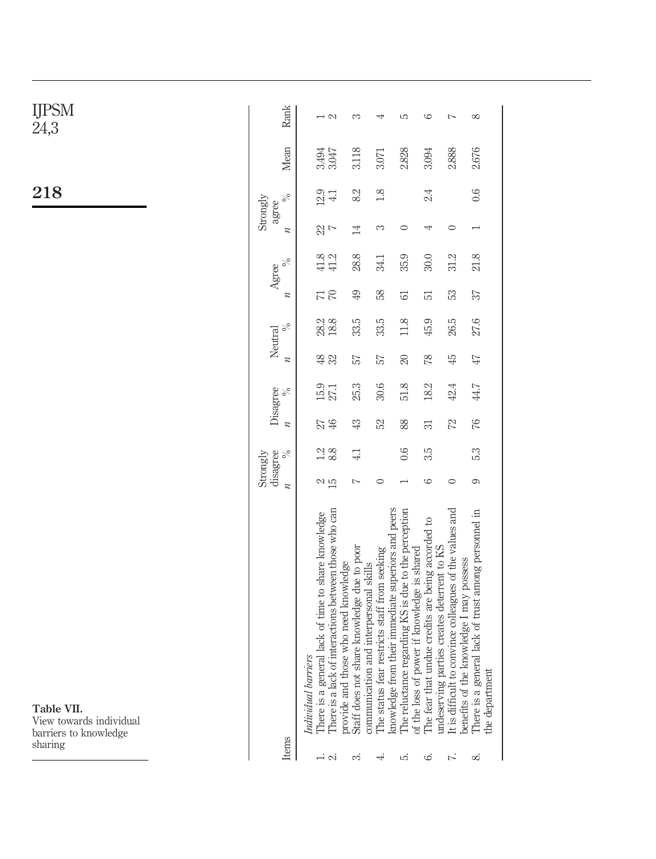| IJPSM<br>24,3                                                             | Rank                         | $\mathbb{C}$<br>$\overline{\phantom{0}}$                                                                                                                       | S                                                                                                                                               | 4                                                                                           | S                                                                                                                                | 6                                                            | $\sim$                                                                                                        | $\infty$                                                                                                               |
|---------------------------------------------------------------------------|------------------------------|----------------------------------------------------------------------------------------------------------------------------------------------------------------|-------------------------------------------------------------------------------------------------------------------------------------------------|---------------------------------------------------------------------------------------------|----------------------------------------------------------------------------------------------------------------------------------|--------------------------------------------------------------|---------------------------------------------------------------------------------------------------------------|------------------------------------------------------------------------------------------------------------------------|
|                                                                           | Mean                         | 3.494<br>3.047                                                                                                                                                 | 3.118                                                                                                                                           | 3.071                                                                                       | 2.828                                                                                                                            | 3.094                                                        | 2.888                                                                                                         | 2.676                                                                                                                  |
| 218                                                                       | $\%$<br>Strongly<br>agree    | 12.9<br>$4.1\,$                                                                                                                                                | 82                                                                                                                                              | 1.8                                                                                         |                                                                                                                                  | 2.4                                                          |                                                                                                               | 0.6                                                                                                                    |
|                                                                           | $\boldsymbol{n}$             | $\frac{2}{3}$                                                                                                                                                  | $\overline{14}$                                                                                                                                 | S                                                                                           | $\circ$                                                                                                                          | 4                                                            | $\circ$                                                                                                       | $\overline{ }$                                                                                                         |
|                                                                           | $\%$<br>Agree                | 41.8<br>41.2                                                                                                                                                   | 28.8                                                                                                                                            | 34.1                                                                                        | 35.9                                                                                                                             | 30.0                                                         | 31.2                                                                                                          | 21.8                                                                                                                   |
|                                                                           | $\boldsymbol{n}$             | $\overline{7}$                                                                                                                                                 | $\overline{6}$                                                                                                                                  | 58                                                                                          | 61                                                                                                                               | 51                                                           | 53                                                                                                            | 57                                                                                                                     |
|                                                                           | $\%$<br>Neutral              | 28.2<br>18.8                                                                                                                                                   | 33.5                                                                                                                                            | 33.5                                                                                        | 11.8                                                                                                                             | 45.9                                                         | 26.5                                                                                                          | 27.6                                                                                                                   |
|                                                                           | $\boldsymbol{\mathcal{Z}}$   | $\frac{48}{32}$                                                                                                                                                | 57                                                                                                                                              | 57                                                                                          | $\infty$                                                                                                                         | 78                                                           | $\ddot{+}$                                                                                                    | $47\,$                                                                                                                 |
|                                                                           | Disagree<br>$\%$             | $\begin{array}{c} 15.9 \\ 27.1 \end{array}$                                                                                                                    | 25.3                                                                                                                                            | 30.6                                                                                        | 51.8                                                                                                                             | 18.2                                                         | 42.4                                                                                                          | 44.7                                                                                                                   |
|                                                                           | $\overline{\mathcal{U}}$     | $\oplus$<br>27                                                                                                                                                 | $\mathfrak{B}$                                                                                                                                  | 23                                                                                          | 88                                                                                                                               | 51                                                           | 22                                                                                                            | $\%$                                                                                                                   |
|                                                                           | disagree<br>$\%$<br>Strongly | $\frac{1}{8}$ 8.                                                                                                                                               | 4.1                                                                                                                                             |                                                                                             | 0.6                                                                                                                              | 3.5                                                          |                                                                                                               | 5.3                                                                                                                    |
|                                                                           | $\overline{\mathcal{U}}$     | $\frac{2}{15}$                                                                                                                                                 | $\sim$                                                                                                                                          | $\circ$                                                                                     |                                                                                                                                  | 6                                                            | $\circ$                                                                                                       | 6                                                                                                                      |
| Table VII.<br>View towards individual<br>barriers to knowledge<br>sharing | Items                        | There is a lack of interactions between those who can<br>al lack of time to share knowledge<br>Individual barriers<br>There is a gener<br>$\rightarrow \infty$ | nare knowledge due to poor<br>se who need knowledge<br>and interpersonal skills<br>provide and thoe<br>Staff does not sl<br>communication<br>ကံ | their immediate superiors and peers<br>restricts staff from seeking<br>The status fear<br>⊣ | The reluctance regarding KS is due to the perception<br>wer if knowledge is shared<br>of the loss of po<br>knowledge from<br>ΓÒ. | idue credits are being accorded to<br>The fear that ur<br>6. | It is difficult to convince colleagues of the values and<br>undeserving parties creates deterrent to KS<br>ŕ. | There is a general lack of trust among personnel in<br>benefits of the knowledge I may possess<br>the department<br>∞ं |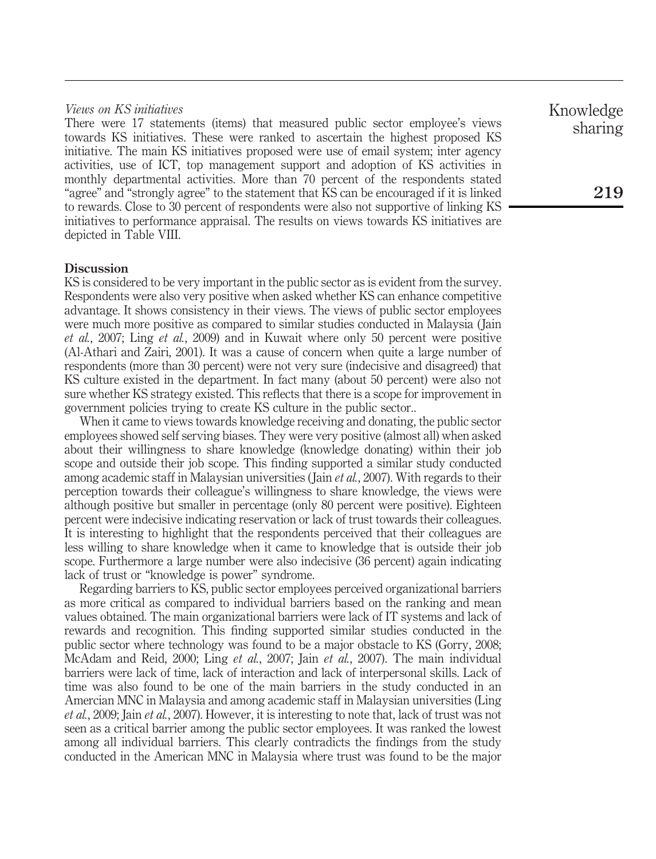# *Views on KS initiatives*

There were 17 statements (items) that measured public sector employee's views towards KS initiatives. These were ranked to ascertain the highest proposed KS initiative. The main KS initiatives proposed were use of email system; inter agency activities, use of ICT, top management support and adoption of KS activities in monthly departmental activities. More than 70 percent of the respondents stated "agree" and "strongly agree" to the statement that KS can be encouraged if it is linked to rewards. Close to 30 percent of respondents were also not supportive of linking KS initiatives to performance appraisal. The results on views towards KS initiatives are depicted in Table VIII.

# **Discussion**

KS is considered to be very important in the public sector as is evident from the survey. Respondents were also very positive when asked whether KS can enhance competitive advantage. It shows consistency in their views. The views of public sector employees were much more positive as compared to similar studies conducted in Malaysia ( Jain *et al.*, 2007; Ling *et al.*, 2009) and in Kuwait where only 50 percent were positive (Al-Athari and Zairi, 2001). It was a cause of concern when quite a large number of respondents (more than 30 percent) were not very sure (indecisive and disagreed) that KS culture existed in the department. In fact many (about 50 percent) were also not sure whether KS strategy existed. This reflects that there is a scope for improvement in government policies trying to create KS culture in the public sector..

When it came to views towards knowledge receiving and donating, the public sector employees showed self serving biases. They were very positive (almost all) when asked about their willingness to share knowledge (knowledge donating) within their job scope and outside their job scope. This finding supported a similar study conducted among academic staff in Malaysian universities ( Jain *et al.*, 2007). With regards to their perception towards their colleague's willingness to share knowledge, the views were although positive but smaller in percentage (only 80 percent were positive). Eighteen percent were indecisive indicating reservation or lack of trust towards their colleagues. It is interesting to highlight that the respondents perceived that their colleagues are less willing to share knowledge when it came to knowledge that is outside their job scope. Furthermore a large number were also indecisive (36 percent) again indicating lack of trust or "knowledge is power" syndrome.

Regarding barriers to KS, public sector employees perceived organizational barriers as more critical as compared to individual barriers based on the ranking and mean values obtained. The main organizational barriers were lack of IT systems and lack of rewards and recognition. This finding supported similar studies conducted in the public sector where technology was found to be a major obstacle to KS (Gorry, 2008; McAdam and Reid, 2000; Ling *et al.*, 2007; Jain *et al.*, 2007). The main individual barriers were lack of time, lack of interaction and lack of interpersonal skills. Lack of time was also found to be one of the main barriers in the study conducted in an Amercian MNC in Malaysia and among academic staff in Malaysian universities (Ling *et al.*, 2009; Jain *et al.*, 2007). However, it is interesting to note that, lack of trust was not seen as a critical barrier among the public sector employees. It was ranked the lowest among all individual barriers. This clearly contradicts the findings from the study conducted in the American MNC in Malaysia where trust was found to be the major Knowledge sharing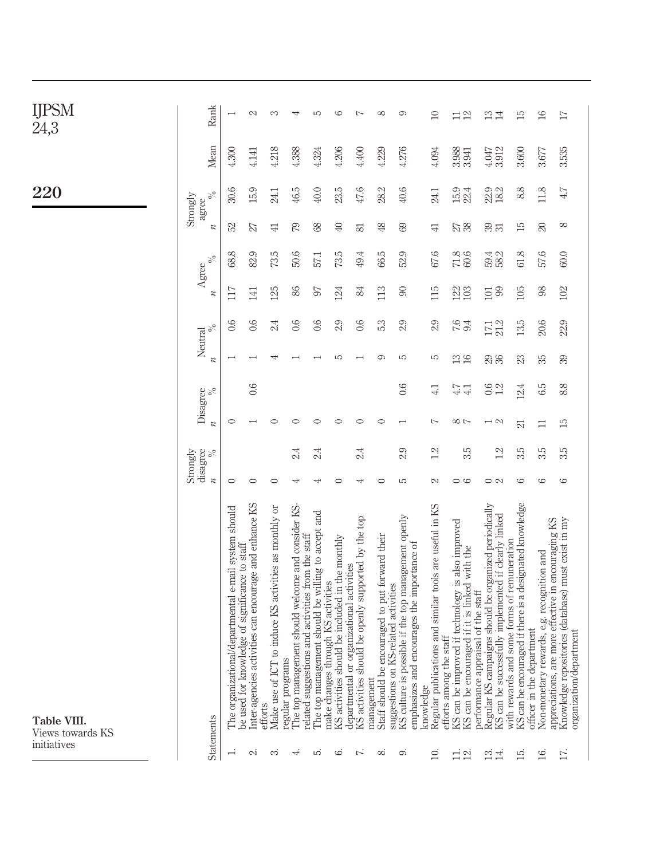| <b>IJPSN</b><br>VI |
|--------------------|
| 24.3               |

220

Table VIII. Views towards KS

initiatives

|                    | <b>Statements</b>                                                                                                                                   | $\overline{\mathcal{U}}$ | Strongly<br>disagree<br>$\%$ | $\overline{\mathcal{U}}$ | $\%$<br>Disagree          | $\boldsymbol{n}$ | $\%$<br>Neutral | $\boldsymbol{\mathcal{U}}$ | $\%$<br>Agree | $\boldsymbol{\mathcal{U}}$ | $\%$<br>Strongly<br>agree | Mean           | Rank                           |
|--------------------|-----------------------------------------------------------------------------------------------------------------------------------------------------|--------------------------|------------------------------|--------------------------|---------------------------|------------------|-----------------|----------------------------|---------------|----------------------------|---------------------------|----------------|--------------------------------|
|                    | The organizational/departmental e-mail system should                                                                                                | ○                        |                              | 0                        |                           |                  | 0.6             | 117                        | 68.8          | S                          | 30.6                      | 4.300          |                                |
| N                  | Inter-agencies activities can encourage and enhance KS<br>be used for knowledge of significance to staff                                            | ⊂                        |                              |                          | 0.6                       |                  | 0.6             | 141                        | 82.9          | 27                         | 15.9                      | 4.141          | 2                              |
| ಯ                  | Make use of ICT to induce KS activities as monthly or<br>efforts                                                                                    | ⊂                        |                              |                          |                           |                  | 24              | 125                        | 73.5          | 41                         | 24.1                      | 4.218          | ∞                              |
| ↤                  | The top management should welcome and consider KS-<br>regular program                                                                               | 4                        | 24                           |                          |                           |                  | 0.6             | 86                         | 50.6          | 79                         | 46.5                      | 4.388          |                                |
| IJ                 | The top management should be willing to accept and<br>ons and activities from the staff<br>hrough KS activities<br>related suggesti                 | 4                        | 24                           |                          |                           |                  | 0.6             | 50                         | 57.1          | 68                         | 40.0                      | 4.324          | LO                             |
| ల                  | KS activities should be included in the monthly<br>make changes t                                                                                   | ⊂                        |                              | ⊂                        |                           | 5                | 2.9             | 124                        | 73.5          | $\bigoplus$                | 23.5                      | 4.206          | ဖ                              |
| Z.                 | ould be openly supported by the top<br>departmental or organizational activities<br>KS activities sh                                                | 4                        | 2.4                          | ⊂                        |                           |                  | 0.6             | 24                         | 49.4          | 53                         | 47.6                      | 4.400          | $\overline{ }$                 |
| ∞                  | encouraged to put forward their<br>KS-related activities<br>Staff should be<br>management                                                           | 0                        |                              | 0                        |                           | ೦                | 5.3             | 113                        | 66.5          | $\frac{8}{2}$              | 28.2                      | 4.229          | ∞                              |
| ာ                  | KS culture is possible if the top management openly<br>encourages the importance of<br>emphasizes and<br>suggestions on                             | 5                        | 2.9                          |                          | 0.6                       | 5                | 2.9             | $\infty$                   | 52.9          | 89                         | 40.6                      | 4.276          | ത                              |
| $\Xi$              | tions and similar tools are useful in KS<br>efforts among the staff<br>Regular publica<br>knowledge                                                 | $\sim$                   | 12                           | Ľ                        | 41                        | S                | 2.9             | 115                        | 67.6          | $\exists$                  | 24.1                      | 4.094          | $\Box$                         |
| $\Xi$ $\Xi$        | KS can be improved if technology is also improved<br>KS can be encouraged if it is linked with the                                                  | G<br>0                   | 3.5                          | $\sim$                   | $47\,$<br>$\overline{41}$ | $\frac{3}{16}$   | $7.6$<br>9.4    | 122<br>103                 | 71.8<br>60.6  | 27                         | 15.9<br>22.4              | 3.988          | $\Xi \, \Xi$                   |
| $\mathbf{r}$<br>4. | Regular KS campaigns should be organized periodically<br>KS can be successfully implemented if clearly linked<br>performance appraisal of the staff | $\circ$                  | $\frac{2}{2}$                | $\mathcal{C}$            | 0.6<br>1.2                | 23               | 21.2<br>17,1    | 99<br>101                  | 59.4<br>58.2  | 33                         | 22.9<br>18.2              | 3.912<br>4.047 | $\mathbb{C}$<br>$\overline{1}$ |
| 15.                | KS can be encouraged if there is a designated knowledge<br>with rewards and some forms of remuneration                                              | G                        | 3.5                          | ನ                        | 12.4                      | 23               | 13.5            | 105                        | 61.8          | $\overline{15}$            | 8.8                       | 3.600          | 15                             |
| 16.                | Non-monetary rewards, e.g. recognition and<br>officer in the department                                                                             | G                        | 3.5                          | ᄇ                        | 6.5                       | 55               | 20.6            | 98                         | 57.6          | $\infty$                   | 11.8                      | 3.677          | 16                             |
| Ξ.                 | Knowledge repositories (database) must exist in my<br>re more effective in encouraging KS<br>organization/department<br>appreciations, are          | 6                        | 3.5                          | $\overline{15}$          | 8.8                       | 39               | 22.9            | 102                        | 60.0          | $^{\circ}$                 | 4.7                       | 3.535          | $\overline{17}$                |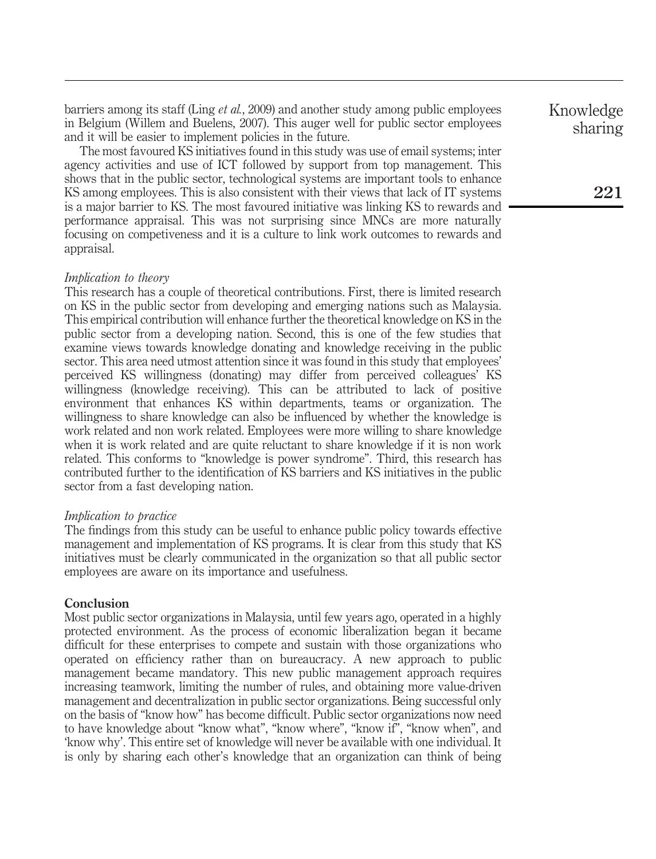barriers among its staff (Ling *et al.*, 2009) and another study among public employees in Belgium (Willem and Buelens, 2007). This auger well for public sector employees and it will be easier to implement policies in the future.

The most favoured KS initiatives found in this study was use of email systems; inter agency activities and use of ICT followed by support from top management. This shows that in the public sector, technological systems are important tools to enhance KS among employees. This is also consistent with their views that lack of IT systems is a major barrier to KS. The most favoured initiative was linking KS to rewards and performance appraisal. This was not surprising since MNCs are more naturally focusing on competiveness and it is a culture to link work outcomes to rewards and appraisal.

#### *Implication to theory*

This research has a couple of theoretical contributions. First, there is limited research on KS in the public sector from developing and emerging nations such as Malaysia. This empirical contribution will enhance further the theoretical knowledge on KS in the public sector from a developing nation. Second, this is one of the few studies that examine views towards knowledge donating and knowledge receiving in the public sector. This area need utmost attention since it was found in this study that employees' perceived KS willingness (donating) may differ from perceived colleagues' KS willingness (knowledge receiving). This can be attributed to lack of positive environment that enhances KS within departments, teams or organization. The willingness to share knowledge can also be influenced by whether the knowledge is work related and non work related. Employees were more willing to share knowledge when it is work related and are quite reluctant to share knowledge if it is non work related. This conforms to "knowledge is power syndrome". Third, this research has contributed further to the identification of KS barriers and KS initiatives in the public sector from a fast developing nation.

#### *Implication to practice*

The findings from this study can be useful to enhance public policy towards effective management and implementation of KS programs. It is clear from this study that KS initiatives must be clearly communicated in the organization so that all public sector employees are aware on its importance and usefulness.

# **Conclusion**

Most public sector organizations in Malaysia, until few years ago, operated in a highly protected environment. As the process of economic liberalization began it became difficult for these enterprises to compete and sustain with those organizations who operated on efficiency rather than on bureaucracy. A new approach to public management became mandatory. This new public management approach requires increasing teamwork, limiting the number of rules, and obtaining more value-driven management and decentralization in public sector organizations. Being successful only on the basis of "know how" has become difficult. Public sector organizations now need to have knowledge about "know what", "know where", "know if", "know when", and 'know why'. This entire set of knowledge will never be available with one individual. It is only by sharing each other's knowledge that an organization can think of being

Knowledge sharing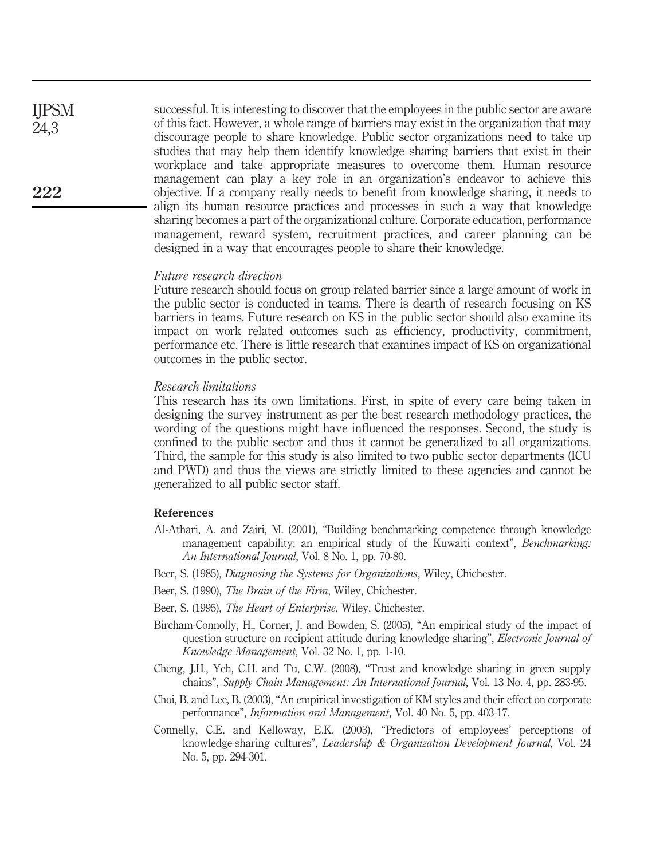successful. It is interesting to discover that the employees in the public sector are aware of this fact. However, a whole range of barriers may exist in the organization that may discourage people to share knowledge. Public sector organizations need to take up studies that may help them identify knowledge sharing barriers that exist in their workplace and take appropriate measures to overcome them. Human resource management can play a key role in an organization's endeavor to achieve this objective. If a company really needs to benefit from knowledge sharing, it needs to align its human resource practices and processes in such a way that knowledge sharing becomes a part of the organizational culture. Corporate education, performance management, reward system, recruitment practices, and career planning can be designed in a way that encourages people to share their knowledge.

#### *Future research direction*

Future research should focus on group related barrier since a large amount of work in the public sector is conducted in teams. There is dearth of research focusing on KS barriers in teams. Future research on KS in the public sector should also examine its impact on work related outcomes such as efficiency, productivity, commitment, performance etc. There is little research that examines impact of KS on organizational outcomes in the public sector.

#### *Research limitations*

This research has its own limitations. First, in spite of every care being taken in designing the survey instrument as per the best research methodology practices, the wording of the questions might have influenced the responses. Second, the study is confined to the public sector and thus it cannot be generalized to all organizations. Third, the sample for this study is also limited to two public sector departments (ICU and PWD) and thus the views are strictly limited to these agencies and cannot be generalized to all public sector staff.

# References

- Al-Athari, A. and Zairi, M. (2001), "Building benchmarking competence through knowledge management capability: an empirical study of the Kuwaiti context", *Benchmarking: An International Journal*, Vol. 8 No. 1, pp. 70-80.
- Beer, S. (1985), *Diagnosing the Systems for Organizations*, Wiley, Chichester.
- Beer, S. (1990), *The Brain of the Firm*, Wiley, Chichester.
- Beer, S. (1995), *The Heart of Enterprise*, Wiley, Chichester.
- Bircham-Connolly, H., Corner, J. and Bowden, S. (2005), "An empirical study of the impact of question structure on recipient attitude during knowledge sharing", *Electronic Journal of Knowledge Management*, Vol. 32 No. 1, pp. 1-10.
- Cheng, J.H., Yeh, C.H. and Tu, C.W. (2008), "Trust and knowledge sharing in green supply chains", *Supply Chain Management: An International Journal*, Vol. 13 No. 4, pp. 283-95.
- Choi, B. and Lee, B. (2003), "An empirical investigation of KM styles and their effect on corporate performance", *Information and Management*, Vol. 40 No. 5, pp. 403-17.
- Connelly, C.E. and Kelloway, E.K. (2003), "Predictors of employees' perceptions of knowledge-sharing cultures", *Leadership & Organization Development Journal*, Vol. 24 No. 5, pp. 294-301.

IJPSM 24,3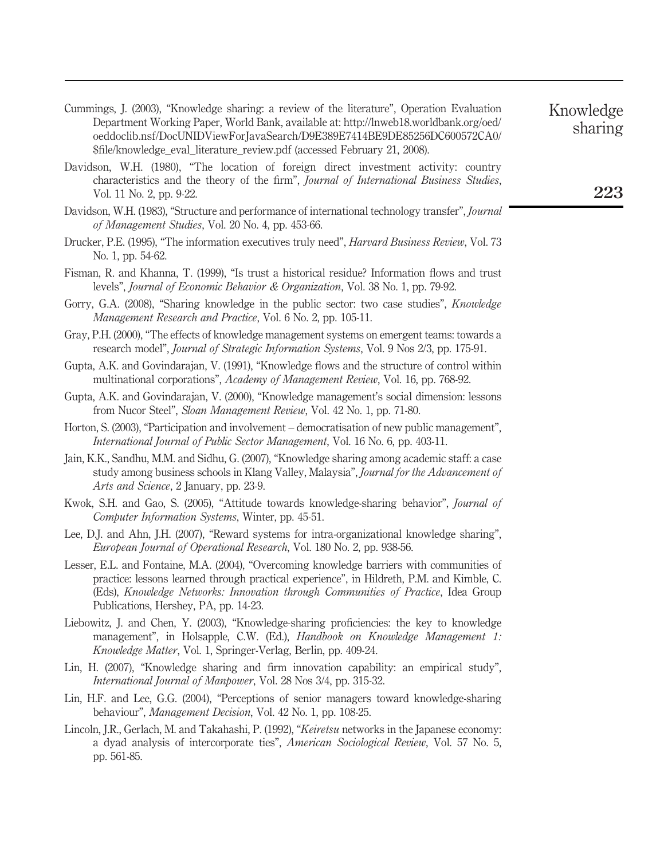- Cummings, J. (2003), "Knowledge sharing: a review of the literature", Operation Evaluation Department Working Paper, World Bank, available at: http://lnweb18.worldbank.org/oed/ oeddoclib.nsf/DocUNIDViewForJavaSearch/D9E389E7414BE9DE85256DC600572CA0/ \$file/knowledge\_eval\_literature\_review.pdf (accessed February 21, 2008).
- Davidson, W.H. (1980), "The location of foreign direct investment activity: country characteristics and the theory of the firm", *Journal of International Business Studies*, Vol. 11 No. 2, pp. 9-22.
- Davidson, W.H. (1983), "Structure and performance of international technology transfer", *Journal of Management Studies*, Vol. 20 No. 4, pp. 453-66.
- Drucker, P.E. (1995), "The information executives truly need", *Harvard Business Review*, Vol. 73 No. 1, pp. 54-62.
- Fisman, R. and Khanna, T. (1999), "Is trust a historical residue? Information flows and trust levels", *Journal of Economic Behavior & Organization*, Vol. 38 No. 1, pp. 79-92.
- Gorry, G.A. (2008), "Sharing knowledge in the public sector: two case studies", *Knowledge Management Research and Practice*, Vol. 6 No. 2, pp. 105-11.
- Gray, P.H. (2000), "The effects of knowledge management systems on emergent teams: towards a research model", *Journal of Strategic Information Systems*, Vol. 9 Nos 2/3, pp. 175-91.
- Gupta, A.K. and Govindarajan, V. (1991), "Knowledge flows and the structure of control within multinational corporations", *Academy of Management Review*, Vol. 16, pp. 768-92.
- Gupta, A.K. and Govindarajan, V. (2000), "Knowledge management's social dimension: lessons from Nucor Steel", *Sloan Management Review*, Vol. 42 No. 1, pp. 71-80.
- Horton, S. (2003), "Participation and involvement democratisation of new public management", *International Journal of Public Sector Management*, Vol. 16 No. 6, pp. 403-11.
- Jain, K.K., Sandhu, M.M. and Sidhu, G. (2007), "Knowledge sharing among academic staff: a case study among business schools in Klang Valley, Malaysia", *Journal for the Advancement of Arts and Science*, 2 January, pp. 23-9.
- Kwok, S.H. and Gao, S. (2005), "Attitude towards knowledge-sharing behavior", *Journal of Computer Information Systems*, Winter, pp. 45-51.
- Lee, D.J. and Ahn, J.H. (2007), "Reward systems for intra-organizational knowledge sharing", *European Journal of Operational Research*, Vol. 180 No. 2, pp. 938-56.
- Lesser, E.L. and Fontaine, M.A. (2004), "Overcoming knowledge barriers with communities of practice: lessons learned through practical experience", in Hildreth, P.M. and Kimble, C. (Eds), *Knowledge Networks: Innovation through Communities of Practice*, Idea Group Publications, Hershey, PA, pp. 14-23.
- Liebowitz, J. and Chen, Y. (2003), "Knowledge-sharing proficiencies: the key to knowledge management", in Holsapple, C.W. (Ed.), *Handbook on Knowledge Management 1: Knowledge Matter*, Vol. 1, Springer-Verlag, Berlin, pp. 409-24.
- Lin, H. (2007), "Knowledge sharing and firm innovation capability: an empirical study", *International Journal of Manpower*, Vol. 28 Nos 3/4, pp. 315-32.
- Lin, H.F. and Lee, G.G. (2004), "Perceptions of senior managers toward knowledge-sharing behaviour", *Management Decision*, Vol. 42 No. 1, pp. 108-25.
- Lincoln, J.R., Gerlach, M. and Takahashi, P. (1992), "*Keiretsu* networks in the Japanese economy: a dyad analysis of intercorporate ties", *American Sociological Review*, Vol. 57 No. 5, pp. 561-85.

sharing

Knowledge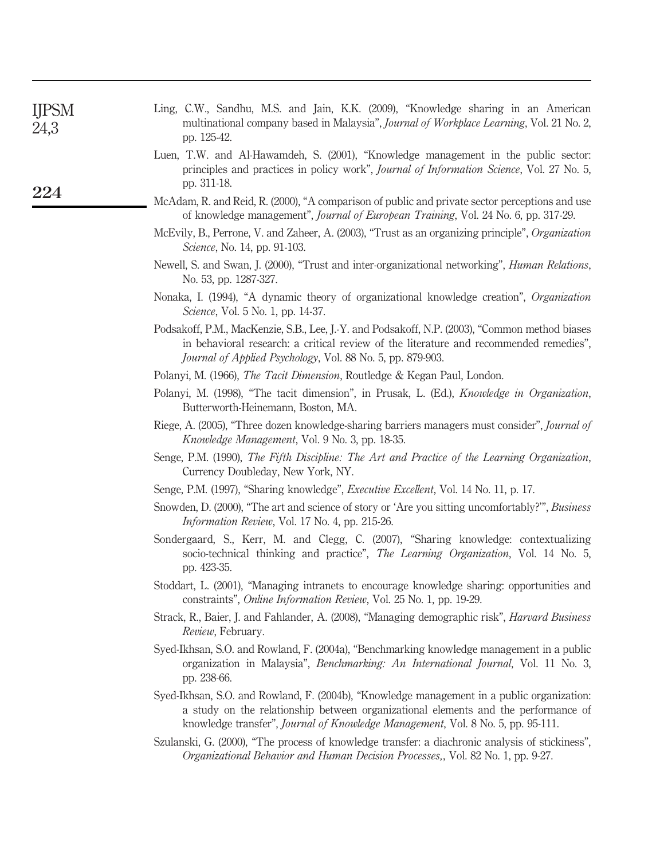| <b>IJPSM</b><br>24,3 | Ling, C.W., Sandhu, M.S. and Jain, K.K. (2009), "Knowledge sharing in an American<br>multinational company based in Malaysia", Journal of Workplace Learning, Vol. 21 No. 2,<br>pp. 125-42.                                                                         |
|----------------------|---------------------------------------------------------------------------------------------------------------------------------------------------------------------------------------------------------------------------------------------------------------------|
|                      | Luen, T.W. and Al-Hawamdeh, S. (2001), "Knowledge management in the public sector:<br>principles and practices in policy work", Journal of Information Science, Vol. 27 No. 5,<br>pp. 311-18.                                                                       |
| 224                  | McAdam, R. and Reid, R. (2000), "A comparison of public and private sector perceptions and use<br>of knowledge management", Journal of European Training, Vol. 24 No. 6, pp. 317-29.                                                                                |
|                      | McEvily, B., Perrone, V. and Zaheer, A. (2003), "Trust as an organizing principle", Organization<br>Science, No. 14, pp. 91-103.                                                                                                                                    |
|                      | Newell, S. and Swan, J. (2000), "Trust and inter-organizational networking", Human Relations,<br>No. 53, pp. 1287-327.                                                                                                                                              |
|                      | Nonaka, I. (1994), "A dynamic theory of organizational knowledge creation", Organization<br><i>Science</i> , Vol. 5 No. 1, pp. 14-37.                                                                                                                               |
|                      | Podsakoff, P.M., MacKenzie, S.B., Lee, J.-Y. and Podsakoff, N.P. (2003), "Common method biases<br>in behavioral research: a critical review of the literature and recommended remedies",<br>Journal of Applied Psychology, Vol. 88 No. 5, pp. 879-903.              |
|                      | Polanyi, M. (1966), The Tacit Dimension, Routledge & Kegan Paul, London.                                                                                                                                                                                            |
|                      | Polanyi, M. (1998), "The tacit dimension", in Prusak, L. (Ed.), <i>Knowledge in Organization</i> ,<br>Butterworth-Heinemann, Boston, MA.                                                                                                                            |
|                      | Riege, A. (2005), "Three dozen knowledge-sharing barriers managers must consider", <i>Journal of</i><br>Knowledge Management, Vol. 9 No. 3, pp. 18-35.                                                                                                              |
|                      | Senge, P.M. (1990), The Fifth Discipline: The Art and Practice of the Learning Organization,<br>Currency Doubleday, New York, NY.                                                                                                                                   |
|                      | Senge, P.M. (1997), "Sharing knowledge", <i>Executive Excellent</i> , Vol. 14 No. 11, p. 17.                                                                                                                                                                        |
|                      | Snowden, D. (2000), "The art and science of story or 'Are you sitting uncomfortably?"", Business<br>Information Review, Vol. 17 No. 4, pp. 215-26.                                                                                                                  |
|                      | Sondergaard, S., Kerr, M. and Clegg, C. (2007), "Sharing knowledge: contextualizing<br>socio-technical thinking and practice", The Learning Organization, Vol. 14 No. 5,<br>pp. 423-35.                                                                             |
|                      | Stoddart, L. (2001), "Managing intranets to encourage knowledge sharing: opportunities and<br>constraints", <i>Online Information Review</i> , Vol. 25 No. 1, pp. 19-29.                                                                                            |
|                      | Strack, R., Baier, J. and Fahlander, A. (2008), "Managing demographic risk", <i>Harvard Business</i><br>Review, February.                                                                                                                                           |
|                      | Syed-Ikhsan, S.O. and Rowland, F. (2004a), "Benchmarking knowledge management in a public<br>organization in Malaysia", Benchmarking: An International Journal, Vol. 11 No. 3,<br>pp. 238-66.                                                                       |
|                      | Syed-Ikhsan, S.O. and Rowland, F. (2004b), "Knowledge management in a public organization:<br>a study on the relationship between organizational elements and the performance of<br>knowledge transfer", Journal of Knowledge Management, Vol. 8 No. 5, pp. 95-111. |
|                      | Szulanski, G. (2000), "The process of knowledge transfer: a diachronic analysis of stickiness",<br><i>Organizational Behavior and Human Decision Processes,, Vol. 82 No. 1, pp. 9-27.</i>                                                                           |
|                      |                                                                                                                                                                                                                                                                     |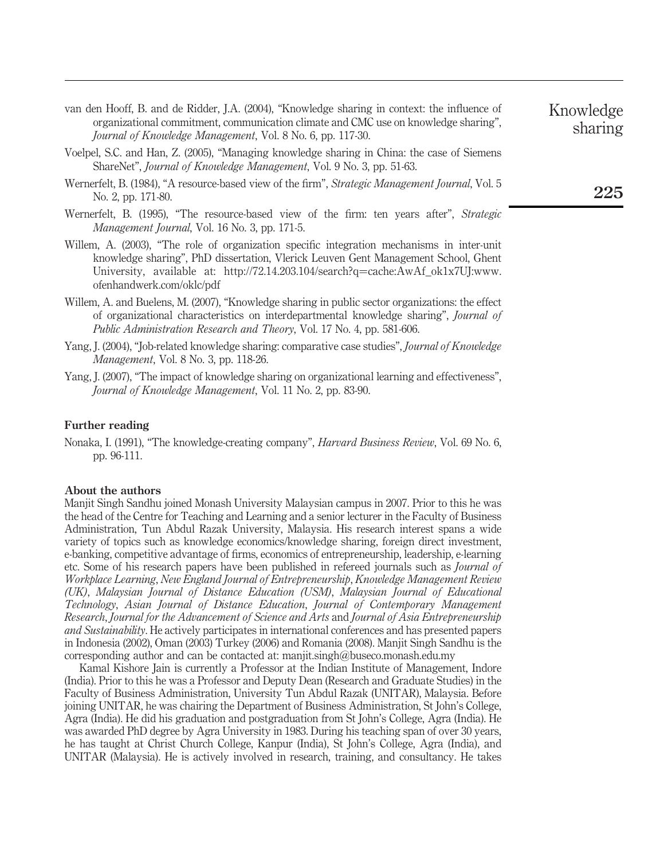- van den Hooff, B. and de Ridder, J.A. (2004), "Knowledge sharing in context: the influence of organizational commitment, communication climate and CMC use on knowledge sharing", *Journal of Knowledge Management*, Vol. 8 No. 6, pp. 117-30.
- Voelpel, S.C. and Han, Z. (2005), "Managing knowledge sharing in China: the case of Siemens ShareNet", *Journal of Knowledge Management*, Vol. 9 No. 3, pp. 51-63.
- Wernerfelt, B. (1984), "A resource-based view of the firm", *Strategic Management Journal*, Vol. 5 No. 2, pp. 171-80.
- Wernerfelt, B. (1995), "The resource-based view of the firm: ten years after", *Strategic Management Journal*, Vol. 16 No. 3, pp. 171-5.
- Willem, A. (2003), "The role of organization specific integration mechanisms in inter-unit knowledge sharing", PhD dissertation, Vlerick Leuven Gent Management School, Ghent University, available at: http://72.14.203.104/search?q=cache:AwAf\_ok1x7UJ:www. ofenhandwerk.com/oklc/pdf
- Willem, A. and Buelens, M. (2007), "Knowledge sharing in public sector organizations: the effect of organizational characteristics on interdepartmental knowledge sharing", *Journal of Public Administration Research and Theory*, Vol. 17 No. 4, pp. 581-606.
- Yang, J. (2004), "Job-related knowledge sharing: comparative case studies", *Journal of Knowledge Management*, Vol. 8 No. 3, pp. 118-26.
- Yang, J. (2007), "The impact of knowledge sharing on organizational learning and effectiveness", *Journal of Knowledge Management*, Vol. 11 No. 2, pp. 83-90.

#### Further reading

Nonaka, I. (1991), "The knowledge-creating company", *Harvard Business Review*, Vol. 69 No. 6, pp. 96-111.

#### About the authors

Manjit Singh Sandhu joined Monash University Malaysian campus in 2007. Prior to this he was the head of the Centre for Teaching and Learning and a senior lecturer in the Faculty of Business Administration, Tun Abdul Razak University, Malaysia. His research interest spans a wide variety of topics such as knowledge economics/knowledge sharing, foreign direct investment, e-banking, competitive advantage of firms, economics of entrepreneurship, leadership, e-learning etc. Some of his research papers have been published in refereed journals such as *Journal of Workplace Learning*, *New England Journal of Entrepreneurship*, *Knowledge Management Review (UK)*, *Malaysian Journal of Distance Education (USM)*, *Malaysian Journal of Educational Technology*, *Asian Journal of Distance Education*, *Journal of Contemporary Management Research*, *Journal for the Advancement of Science and Arts* and *Journal of Asia Entrepreneurship and Sustainability*. He actively participates in international conferences and has presented papers in Indonesia (2002), Oman (2003) Turkey (2006) and Romania (2008). Manjit Singh Sandhu is the corresponding author and can be contacted at: manjit.singh@buseco.monash.edu.my

Kamal Kishore Jain is currently a Professor at the Indian Institute of Management, Indore (India). Prior to this he was a Professor and Deputy Dean (Research and Graduate Studies) in the Faculty of Business Administration, University Tun Abdul Razak (UNITAR), Malaysia. Before joining UNITAR, he was chairing the Department of Business Administration, St John's College, Agra (India). He did his graduation and postgraduation from St John's College, Agra (India). He was awarded PhD degree by Agra University in 1983. During his teaching span of over 30 years, he has taught at Christ Church College, Kanpur (India), St John's College, Agra (India), and UNITAR (Malaysia). He is actively involved in research, training, and consultancy. He takes

# sharing

Knowledge